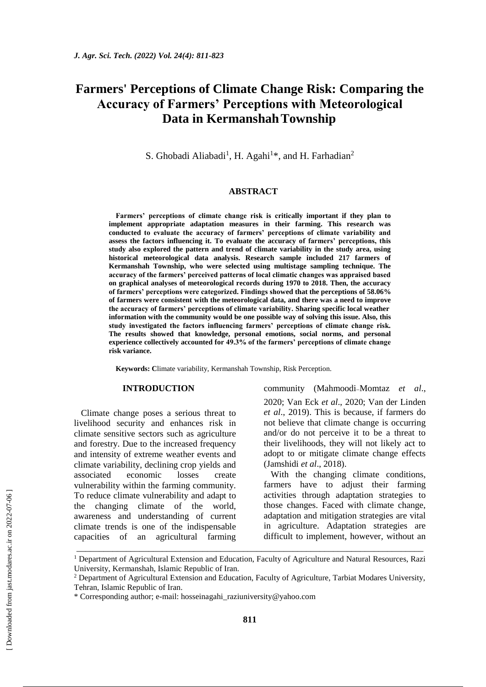# **Farmers' Perceptions of Climate Change Risk: Comparing the Accuracy of Farmers' Perceptions with Meteorological Data in KermanshahTownship**

S. Ghobadi Aliabadi<sup>1</sup>, H. Agahi<sup>1\*</sup>, and H. Farhadian<sup>2</sup>

## **ABSTRACT**

**Farmers' perceptions of climate change risk is critically important if they plan to implement appropriate adaptation measures in their farming. This research was conducted to evaluate the accuracy of farmers' perceptions of climate variability and assess the factors influencing it. To evaluate the accuracy of farmers' perceptions, this study also explored the pattern and trend of climate variability in the study area, using historical meteorological data analysis. Research sample included 217 farmers of Kermanshah Township, who were selected using multistage sampling technique. The accuracy of the farmers' perceived patterns of local climatic changes was appraised based on graphical analyses of meteorological records during 1970 to 2018. Then, the accuracy of farmers' perceptions were categorized. Findings showed that the perceptions of 58.06% of farmers were consistent with the meteorological data, and there was a need to improve the accuracy of farmers' perceptions of climate variability. Sharing specific local weather information with the community would be one possible way of solving this issue. Also, this study investigated the factors influencing farmers' perceptions of climate change risk. The results showed that knowledge, personal emotions, social norms, and personal experience collectively accounted for 49.3% of the farmers' perceptions of climate change risk variance.**

**Keywords: C**limate variability, Kermanshah Township, Risk Perception.

### **INTRODUCTION**

Climate change poses a serious threat to livelihood security and enhances risk in climate sensitive sectors such as agriculture and forestry. Due to the increased frequency and intensity of extreme weather events and climate variability, declining crop yields and associated economic losses create vulnerability within the farming community. To reduce climate vulnerability and adapt to the changing climate of the world, awareness and understanding of current climate trends is one of the indispensable capacities of an agricultural farming community (Mahmoodi-Momtaz *et al.*, 2020; Van Eck *et al*., 2020; Van der Linden *et al*., 2019). This is because, if farmers do not believe that climate change is occurring and/or do not perceive it to be a threat to their livelihoods, they will not likely act to adopt to or mitigate climate change effects (Jamshidi *et al*., 2018).

With the changing climate conditions, farmers have to adjust their farming activities through adaptation strategies to those changes. Faced with climate change, adaptation and mitigation strategies are vital in agriculture. Adaptation strategies are difficult to implement, however, without an

\_\_\_\_\_\_\_\_\_\_\_\_\_\_\_\_\_\_\_\_\_\_\_\_\_\_\_\_\_\_\_\_\_\_\_\_\_\_\_\_\_\_\_\_\_\_\_\_\_\_\_\_\_\_\_\_\_\_\_\_\_\_\_\_\_\_\_\_\_\_\_\_\_\_\_\_\_

<sup>&</sup>lt;sup>1</sup> Department of Agricultural Extension and Education, Faculty of Agriculture and Natural Resources, Razi University, Kermanshah, Islamic Republic of Iran.

<sup>&</sup>lt;sup>2</sup> Department of Agricultural Extension and Education, Faculty of Agriculture, Tarbiat Modares University, Tehran, Islamic Republic of Iran.

<sup>\*</sup> Corresponding author; e-mail: [hosseinagahi\\_raziuniversity@yahoo.com](mailto:hosseinagahi_raziuniversity@yahoo.com)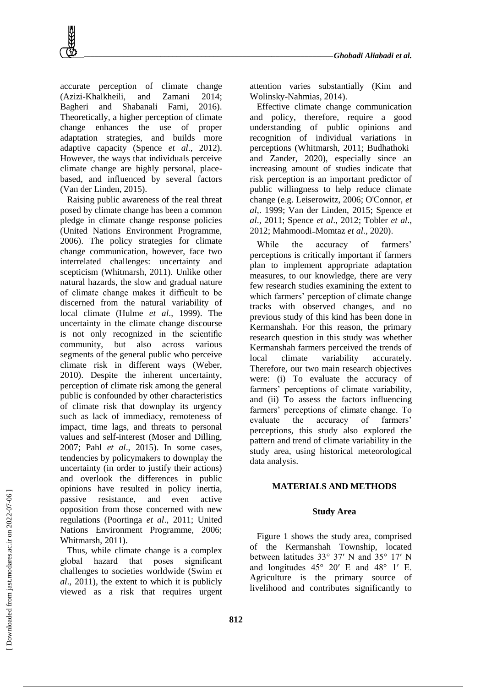accurate perception of climate change (Azizi-Khalkheili, and Zamani 2014; Bagheri and Shabanali Fami, 2016). Theoretically, a higher perception of climate change enhances the use of proper adaptation strategies, and builds more adaptive capacity (Spence *et al*., 2012). However, the ways that individuals perceive climate change are highly personal, placebased, and influenced by several factors (Van der Linden, 2015).

Raising public awareness of the real threat posed by climate change has been a common pledge in climate change response policies (United Nations Environment Programme, 2006). The policy strategies for climate change communication, however, face two interrelated challenges: uncertainty and scepticism (Whitmarsh, 2011). Unlike other natural hazards, the slow and gradual nature of climate change makes it difficult to be discerned from the natural variability of local climate (Hulme *et al*., 1999). The uncertainty in the climate change discourse is not only recognized in the scientific community, but also across various segments of the general public who perceive climate risk in different ways (Weber, 2010). Despite the inherent uncertainty, perception of climate risk among the general public is confounded by other characteristics of climate risk that downplay its urgency such as lack of immediacy, remoteness of impact, time lags, and threats to personal values and self-interest (Moser and Dilling, 2007; Pahl *et al*., 2015). In some cases, tendencies by policymakers to downplay the uncertainty (in order to justify their actions) and overlook the differences in public opinions have resulted in policy inertia, passive resistance, and even active opposition from those concerned with new regulations (Poortinga *et al*., 2011; United Nations Environment Programme, 2006; Whitmarsh, 2011).

Thus, while climate change is a complex global hazard that poses significant challenges to societies worldwide (Swim *et al*., 2011), the extent to which it is publicly viewed as a risk that requires urgent attention varies substantially (Kim and Wolinsky-Nahmias, 2014).

Effective climate change communication and policy, therefore, require a good understanding of public opinions and recognition of individual variations in perceptions (Whitmarsh, 2011; Budhathoki and Zander, 2020), especially since an increasing amount of studies indicate that risk perception is an important predictor of public willingness to help reduce climate change (e.g. Leiserowitz, 2006; O'Connor, *et al*,. 1999; Van der Linden, 2015; Spence *et al*., 2011; Spence *et al*., 2012; Tobler *et al*., 2012; Mahmoodi Momtaz *et al*., 2020).

While the accuracy of farmers' perceptions is critically important if farmers plan to implement appropriate adaptation measures, to our knowledge, there are very few research studies examining the extent to which farmers' perception of climate change tracks with observed changes, and no previous study of this kind has been done in Kermanshah. For this reason, the primary research question in this study was whether Kermanshah farmers perceived the trends of local climate variability accurately. Therefore, our two main research objectives were: (i) To evaluate the accuracy of farmers' perceptions of climate variability, and (ii) To assess the factors influencing farmers' perceptions of climate change. To evaluate the accuracy of farmers' perceptions, this study also explored the pattern and trend of climate variability in the study area, using historical meteorological data analysis.

# **MATERIALS AND METHODS**

#### **Study Area**

Figure 1 shows the study area, comprised of the Kermanshah Township, located between latitudes 33° 37′ N and 35° 17′ N and longitudes 45° 20′ E and 48° 1′ E. Agriculture is the primary source of livelihood and contributes significantly to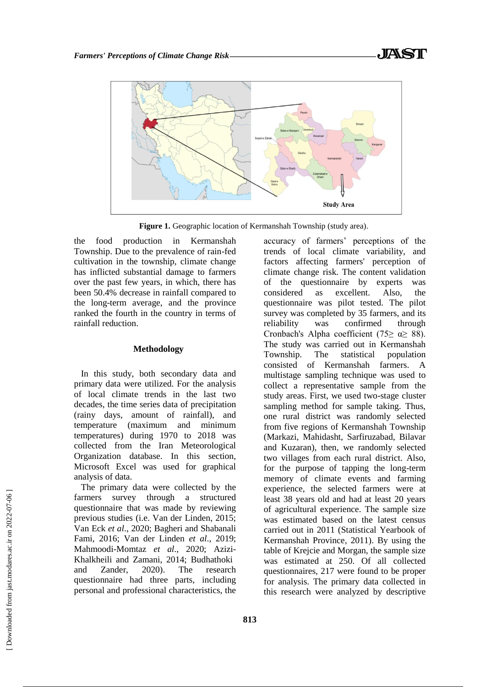



**Figure 1.** Geographic location of Kermanshah Township (study area).

the food production in Kermanshah Township. Due to the prevalence of rain-fed cultivation in the township, climate change has inflicted substantial damage to farmers over the past few years, in which, there has been 50.4% decrease in rainfall compared to the long-term average, and the province ranked the fourth in the country in terms of rainfall reduction.

## **Methodology**

In this study, both secondary data and primary data were utilized. For the analysis of local climate trends in the last two decades, the time series data of precipitation (rainy days, amount of rainfall), and temperature (maximum and minimum temperatures) during 1970 to 2018 was collected from the Iran Meteorological Organization database. In this section, Microsoft Excel was used for graphical analysis of data.

The primary data were collected by the farmers survey through a structured questionnaire that was made by reviewing previous studies (i.e. Van der Linden, 2015; Van Eck *et al*., 2020; Bagheri and Shabanali Fami, 2016; Van der Linden *et al*., 2019; Mahmoodi-Momtaz *et al*., 2020; Azizi-Khalkheili and Zamani, 2014; Budhathoki and Zander, 2020). The research questionnaire had three parts, including personal and professional characteristics, the

accuracy of farmers' perceptions of the trends of local climate variability, and factors affecting farmers' perception of climate change risk. The content validation of the questionnaire by experts was considered as excellent. Also, the questionnaire was pilot tested. The pilot survey was completed by 35 farmers, and its reliability was confirmed through Cronbach's Alpha coefficient (75≥  $\alpha$ ≥ 88). The study was carried out in Kermanshah Township. The statistical population consisted of Kermanshah farmers. A multistage sampling technique was used to collect a representative sample from the study areas. First, we used two-stage cluster sampling method for sample taking. Thus, one rural district was randomly selected from five regions of Kermanshah Township (Markazi, Mahidasht, Sarfiruzabad, Bilavar and Kuzaran), then, we randomly selected two villages from each rural district. Also, for the purpose of tapping the long-term memory of climate events and farming experience, the selected farmers were at least 38 years old and had at least 20 years of agricultural experience. The sample size was estimated based on the latest census carried out in 2011 (Statistical Yearbook of Kermanshah Province, 2011). By using the table of Krejcie and Morgan, the sample size was estimated at 250. Of all collected questionnaires, 217 were found to be proper for analysis. The primary data collected in this research were analyzed by descriptive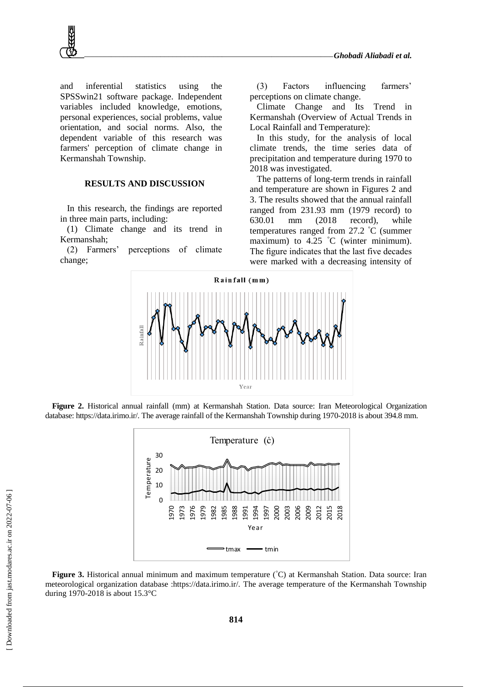

and inferential statistics using the SPSSwin21 software package. Independent variables included knowledge, emotions, personal experiences, social problems, value orientation, and social norms. Also, the dependent variable of this research was farmers' perception of climate change in Kermanshah Township.

# **RESULTS AND DISCUSSION**

In this research, the findings are reported in three main parts, including:

(1) Climate change and its trend in Kermanshah;

(2) Farmers' perceptions of climate change;

(3) Factors influencing farmers' perceptions on climate change.

Climate Change and Its Trend in Kermanshah (Overview of Actual Trends in Local Rainfall and Temperature):

In this study, for the analysis of local climate trends, the time series data of precipitation and temperature during 1970 to 2018 was investigated.

The patterns of long-term trends in rainfall and temperature are shown in Figures 2 and 3. The results showed that the annual rainfall ranged from 231.93 mm (1979 record) to 630.01 mm (2018 record), while temperatures ranged from 27.2 °C (summer maximum) to 4.25 °C (winter minimum). The figure indicates that the last five decades were marked with a decreasing intensity of



**Figure 2.** Historical annual rainfall (mm) at Kermanshah Station. Data source: Iran Meteorological Organization database: https://data.irimo.ir/. The average rainfall of the Kermanshah Township during 1970-2018 is about 394.8 mm.



**Figure 3.** Historical annual minimum and maximum temperature (°C) at Kermanshah Station. Data source: Iran meteorological organization database :https://data.irimo.ir/. The average temperature of the Kermanshah Township during 1970-2018 is about 15.3°C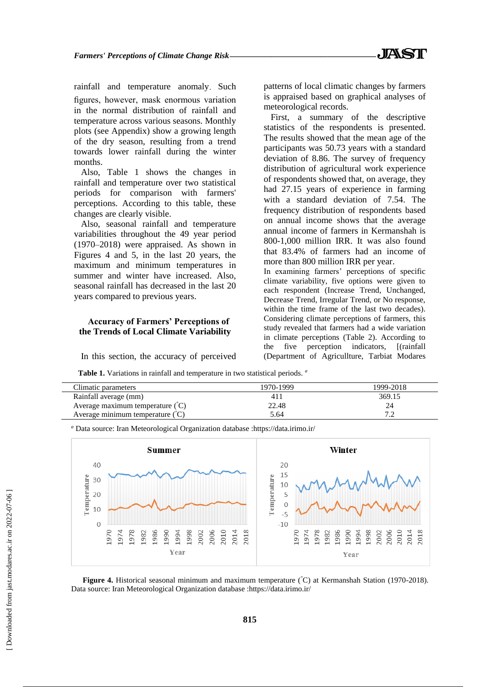rainfall and temperature anomaly. Such figures, however, mask enormous variation in the normal distribution of rainfall and temperature across various seasons. Monthly plots (see Appendix) show a growing length of the dry season, resulting from a trend towards lower rainfall during the winter months.

Also, Table 1 shows the changes in rainfall and temperature over two statistical periods for comparison with farmers' perceptions. According to this table, these changes are clearly visible.

Also, seasonal rainfall and temperature variabilities throughout the 49 year period (1970–2018) were appraised. As shown in Figures 4 and 5, in the last 20 years, the maximum and minimum temperatures in summer and winter have increased. Also, seasonal rainfall has decreased in the last 20 years compared to previous years.

## **Accuracy of Farmers' Perceptions of the Trends of Local Climate Variability**

In this section, the accuracy of perceived

patterns of local climatic changes by farmers is appraised based on graphical analyses of meteorological records.

First, a summary of the descriptive statistics of the respondents is presented. The results showed that the mean age of the participants was 50.73 years with a standard deviation of 8.86. The survey of frequency distribution of agricultural work experience of respondents showed that, on average, they had 27.15 years of experience in farming with a standard deviation of 7.54. The frequency distribution of respondents based on annual income shows that the average annual income of farmers in Kermanshah is 800-1,000 million IRR. It was also found that 83.4% of farmers had an income of more than 800 million IRR per year.

In examining farmers' perceptions of specific climate variability, five options were given to each respondent (Increase Trend, Unchanged, Decrease Trend, Irregular Trend, or No response, within the time frame of the last two decades). Considering climate perceptions of farmers, this study revealed that farmers had a wide variation in climate perceptions (Table 2). According to the five perception indicators, [(rainfall (Department of Agricullture, Tarbiat Modares

**Table 1.** Variations in rainfall and temperature in two statistical periods. *<sup>a</sup>*

| 1970-1999 | 1999-2018 |
|-----------|-----------|
| 41 I      | 369.15    |
| 22.48     |           |
| 5.64      |           |
|           |           |

*<sup>a</sup>* Data source: Iran Meteorological Organization database :https://data.irimo.ir/



**Figure 4.** Historical seasonal minimum and maximum temperature (°C) at Kermanshah Station (1970-2018). Data source: Iran Meteorological Organization database :https://data.irimo.ir/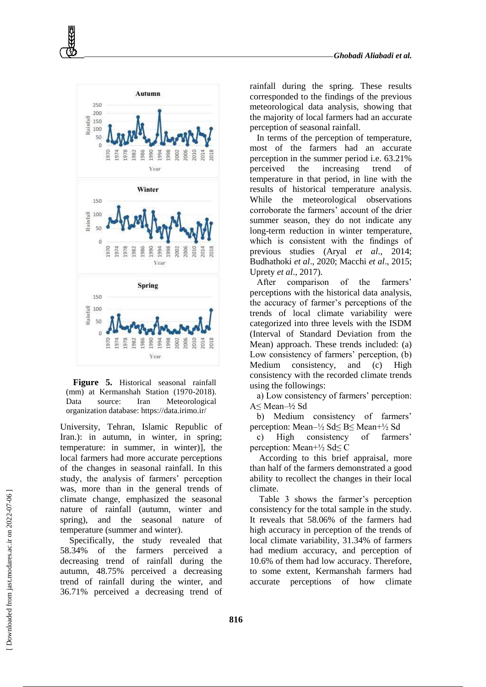

**Figure 5.** Historical seasonal rainfall (mm) at Kermanshah Station (1970-2018). Data source: Iran Meteorological organization database: https://data.irimo.ir/

University, Tehran, Islamic Republic of Iran.): in autumn, in winter, in spring; temperature: in summer, in winter)], the local farmers had more accurate perceptions of the changes in seasonal rainfall. In this study, the analysis of farmers' perception was, more than in the general trends of climate change, emphasized the seasonal nature of rainfall (autumn, winter and spring), and the seasonal nature of temperature (summer and winter).

Specifically, the study revealed that 58.34% of the farmers perceived decreasing trend of rainfall during the autumn, 48.75% perceived a decreasing trend of rainfall during the winter, and 36.71% perceived a decreasing trend of rainfall during the spring. These results corresponded to the findings of the previous meteorological data analysis, showing that the majority of local farmers had an accurate perception of seasonal rainfall.

In terms of the perception of temperature, most of the farmers had an accurate perception in the summer period i.e. 63.21% perceived the increasing trend of temperature in that period, in line with the results of historical temperature analysis. While the meteorological observations corroborate the farmers' account of the drier summer season, they do not indicate any long-term reduction in winter temperature, which is consistent with the findings of previous studies (Aryal *et al*., 2014; Budhathoki *et al*., 2020; Macchi *et al*., 2015; Uprety *et al*., 2017).

After comparison of the farmers' perceptions with the historical data analysis, the accuracy of farmer's perceptions of the trends of local climate variability were categorized into three levels with the ISDM (Interval of Standard Deviation from the Mean) approach. These trends included: (a) Low consistency of farmers' perception, (b) Medium consistency, and (c) High consistency with the recorded climate trends using the followings:

a) Low consistency of farmers' perception: A≤ Mean–½ Sd

b) Medium consistency of farmers' perception: Mean–½ Sd≤ B≤ Mean+½ Sd

c) High consistency of farmers' perception: Mean+½ Sd≤ C

According to this brief appraisal, more than half of the farmers demonstrated a good ability to recollect the changes in their local climate.

Table 3 shows the farmer's perception consistency for the total sample in the study. It reveals that 58.06% of the farmers had high accuracy in perception of the trends of local climate variability, 31.34% of farmers had medium accuracy, and perception of 10.6% of them had low accuracy. Therefore, to some extent, Kermanshah farmers had accurate perceptions of how climate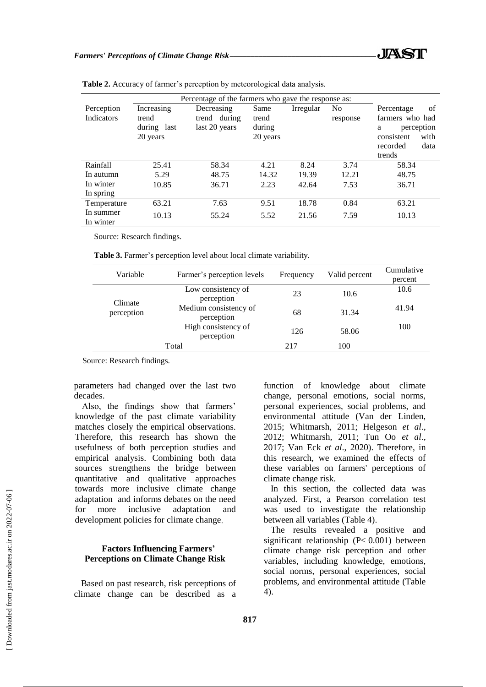|             | Percentage of the farmers who gave the response as: |               |          |           |                |                    |
|-------------|-----------------------------------------------------|---------------|----------|-----------|----------------|--------------------|
| Perception  | Increasing                                          | Decreasing    | Same     | Irregular | N <sub>0</sub> | Percentage<br>of   |
| Indicators  | trend                                               | trend during  | trend    |           | response       | farmers who had    |
|             | during last                                         | last 20 years | during   |           |                | perception<br>a    |
|             | 20 years                                            |               | 20 years |           |                | with<br>consistent |
|             |                                                     |               |          |           |                | data<br>recorded   |
|             |                                                     |               |          |           |                | trends             |
| Rainfall    | 25.41                                               | 58.34         | 4.21     | 8.24      | 3.74           | 58.34              |
| In autumn   | 5.29                                                | 48.75         | 14.32    | 19.39     | 12.21          | 48.75              |
| In winter   | 10.85                                               | 36.71         | 2.23     | 42.64     | 7.53           | 36.71              |
| In spring   |                                                     |               |          |           |                |                    |
| Temperature | 63.21                                               | 7.63          | 9.51     | 18.78     | 0.84           | 63.21              |
| In summer   | 10.13                                               | 55.24         | 5.52     | 21.56     | 7.59           | 10.13              |
| In winter   |                                                     |               |          |           |                |                    |

**Table 2.** Accuracy of farmer's perception by meteorological data analysis.

Source: Research findings.

**Table 3.** Farmer's perception level about local climate variability.

| Variable              | Farmer's perception levels          | Frequency | Valid percent | Cumulative<br>percent |
|-----------------------|-------------------------------------|-----------|---------------|-----------------------|
| Climate<br>perception | Low consistency of<br>perception    | 23        | 10.6          | 10.6                  |
|                       | Medium consistency of<br>perception | 68        | 31.34         | 41.94                 |
|                       | High consistency of<br>perception   | 126       | 58.06         | 100                   |
|                       | Total                               | 217       | 100           |                       |

Source: Research findings.

parameters had changed over the last two decades.

Also, the findings show that farmers' knowledge of the past climate variability matches closely the empirical observations. Therefore, this research has shown the usefulness of both perception studies and empirical analysis. Combining both data sources strengthens the bridge between quantitative and qualitative approaches towards more inclusive climate change adaptation and informs debates on the need for more inclusive adaptation and development policies for climate change.

# **Factors Influencing Farmers' Perceptions on Climate Change Risk**

Based on past research, risk perceptions of climate change can be described as a function of knowledge about climate change, personal emotions, social norms, personal experiences, social problems, and environmental attitude (Van der Linden, 2015; Whitmarsh, 2011; Helgeson *et al*., 2012; Whitmarsh, 2011; Tun Oo *et al*., 2017; Van Eck *et al*., 2020). Therefore, in this research, we examined the effects of these variables on farmers' perceptions of climate change risk.

In this section, the collected data was analyzed. First, a Pearson correlation test was used to investigate the relationship between all variables (Table 4).

The results revealed a positive and significant relationship (P< 0.001) between climate change risk perception and other variables, including knowledge, emotions, social norms, personal experiences, social problems, and environmental attitude (Table 4).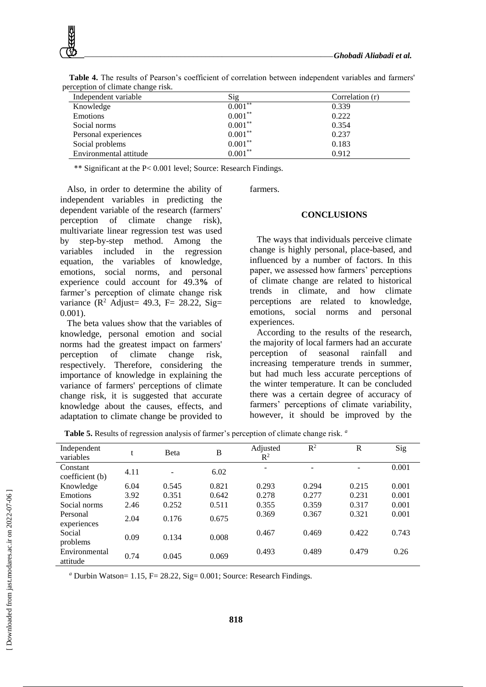

**Table 4.** The results of Pearson's coefficient of correlation between independent variables and farmers' perception of climate change risk.

\*\* Significant at the P< 0.001 level; Source: Research Findings.

Also, in order to determine the ability of independent variables in predicting the dependent variable of the research (farmers' perception of climate change risk), multivariate linear regression test was used by step-by-step method. Among the variables included in the regression equation, the variables of knowledge, emotions, social norms, and personal experience could account for 49.3**%** of farmer's perception of climate change risk variance ( $\mathbb{R}^2$  Adjust= 49.3, F= 28.22, Sig= 0.001).

The beta values show that the variables of knowledge, personal emotion and social norms had the greatest impact on farmers' perception of climate change risk, respectively. Therefore, considering the importance of knowledge in explaining the variance of farmers' perceptions of climate change risk, it is suggested that accurate knowledge about the causes, effects, and adaptation to climate change be provided to farmers.

#### **CONCLUSIONS**

The ways that individuals perceive climate change is highly personal, place-based, and influenced by a number of factors. In this paper, we assessed how farmers' perceptions of climate change are related to historical trends in climate, and how climate perceptions are related to knowledge, emotions, social norms and personal experiences.

According to the results of the research, the majority of local farmers had an accurate perception of seasonal rainfall and increasing temperature trends in summer, but had much less accurate perceptions of the winter temperature. It can be concluded there was a certain degree of accuracy of farmers' perceptions of climate variability, however, it should be improved by the

**Table 5.** Results of regression analysis of farmer's perception of climate change risk. *<sup>a</sup>*

| Independent<br>variables    | t    | <b>B</b> eta | B     | Adjusted<br>$\mathbb{R}^2$ | $R^2$ | R     | Sig   |
|-----------------------------|------|--------------|-------|----------------------------|-------|-------|-------|
| Constant<br>coefficient (b) | 4.11 |              | 6.02  |                            |       | -     | 0.001 |
| Knowledge                   | 6.04 | 0.545        | 0.821 | 0.293                      | 0.294 | 0.215 | 0.001 |
| Emotions                    | 3.92 | 0.351        | 0.642 | 0.278                      | 0.277 | 0.231 | 0.001 |
| Social norms                | 2.46 | 0.252        | 0.511 | 0.355                      | 0.359 | 0.317 | 0.001 |
| Personal<br>experiences     | 2.04 | 0.176        | 0.675 | 0.369                      | 0.367 | 0.321 | 0.001 |
| Social<br>problems          | 0.09 | 0.134        | 0.008 | 0.467                      | 0.469 | 0.422 | 0.743 |
| Environmental<br>attitude   | 0.74 | 0.045        | 0.069 | 0.493                      | 0.489 | 0.479 | 0.26  |

*<sup>a</sup>* Durbin Watson= 1.15, F= 28.22, Sig= 0.001; Source: Research Findings.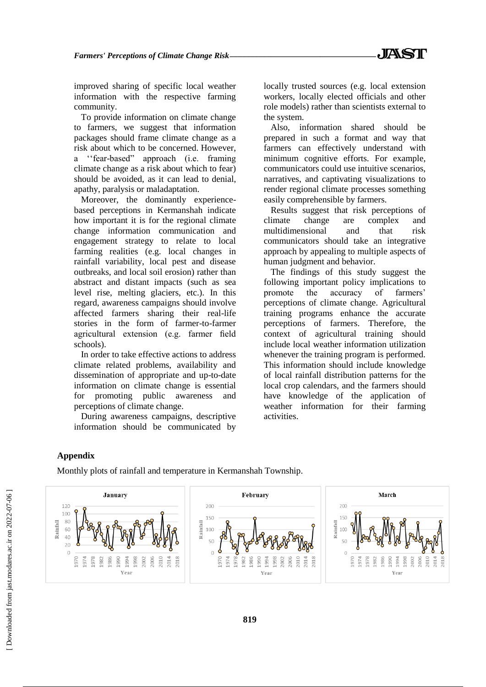improved sharing of specific local weather information with the respective farming community.

To provide information on climate change to farmers, we suggest that information packages should frame climate change as a risk about which to be concerned. However, a ''fear-based" approach (i.e. framing climate change as a risk about which to fear) should be avoided, as it can lead to denial, apathy, paralysis or maladaptation.

Moreover, the dominantly experiencebased perceptions in Kermanshah indicate how important it is for the regional climate change information communication and engagement strategy to relate to local farming realities (e.g. local changes in rainfall variability, local pest and disease outbreaks, and local soil erosion) rather than abstract and distant impacts (such as sea level rise, melting glaciers, etc.). In this regard, awareness campaigns should involve affected farmers sharing their real-life stories in the form of farmer-to-farmer agricultural extension (e.g. farmer field schools).

In order to take effective actions to address climate related problems, availability and dissemination of appropriate and up-to-date information on climate change is essential for promoting public awareness and perceptions of climate change.

During awareness campaigns, descriptive information should be communicated by locally trusted sources (e.g. local extension workers, locally elected officials and other role models) rather than scientists external to the system.

Also, information shared should be prepared in such a format and way that farmers can effectively understand with minimum cognitive efforts. For example, communicators could use intuitive scenarios, narratives, and captivating visualizations to render regional climate processes something easily comprehensible by farmers.

Results suggest that risk perceptions of climate change are complex and multidimensional and that risk communicators should take an integrative approach by appealing to multiple aspects of human judgment and behavior.

The findings of this study suggest the following important policy implications to promote the accuracy of farmers' perceptions of climate change. Agricultural training programs enhance the accurate perceptions of farmers. Therefore, the context of agricultural training should include local weather information utilization whenever the training program is performed. This information should include knowledge of local rainfall distribution patterns for the local crop calendars, and the farmers should have knowledge of the application of weather information for their farming activities.

# **Appendix**

Monthly plots of rainfall and temperature in Kermanshah Township.

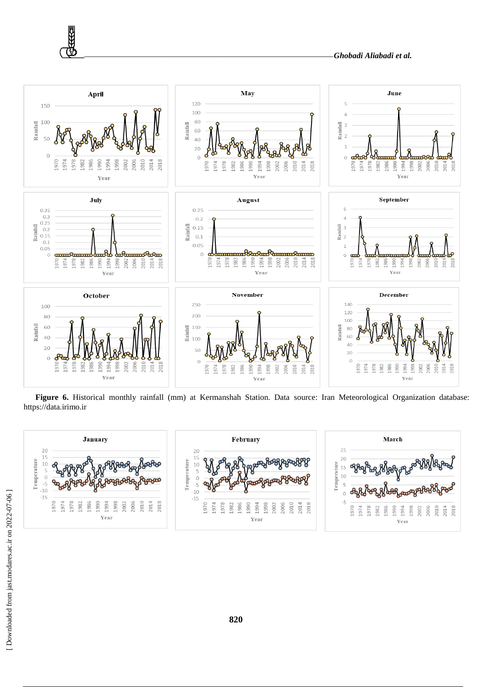

**Figure 6.** Historical monthly rainfall (mm) at Kermanshah Station. Data source: Iran Meteorological Organization database: https://data.irimo.ir



₩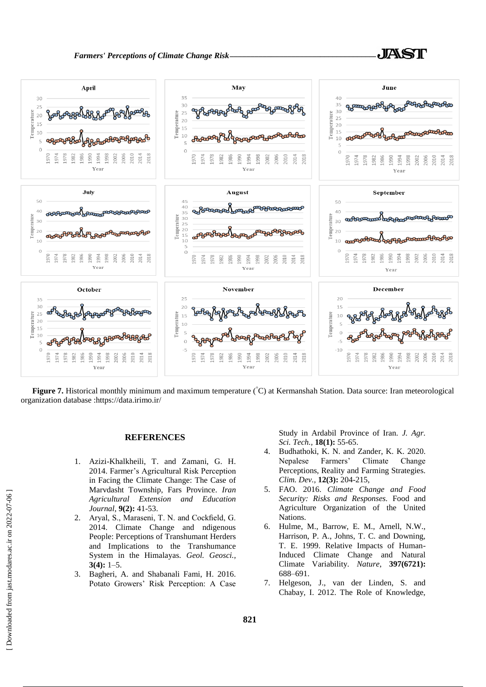



**Figure 7.** Historical monthly minimum and maximum temperature (°C) at Kermanshah Station. Data source: Iran meteorological organization database :https://data.irimo.ir/

### **REFERENCES**

- 1. Azizi-Khalkheili, T. and Zamani, G. H. 2014. Farmer's Agricultural Risk Perception in Facing the Climate Change: The Case of Marvdasht Township, Fars Province. *Iran Agricultural Extension and Education Journal*, **9(2):** 41-53.
- 2. Aryal, S., Maraseni, T. N. and Cockfield, G. 2014. Climate Change and ndigenous People: Perceptions of Transhumant Herders and Implications to the Transhumance System in the Himalayas. *Geol. Geosci.,* **3(4):** 1–5.
- 3. Bagheri, A. and Shabanali Fami, H. 2016. Potato Growers' Risk Perception: A Case

Study in Ardabil Province of Iran. *J. Agr. Sci. Tech.,* **18(1):** 55-65.

- 4. Budhathoki, K. N. and Zander, K. K. 2020. Nepalese Farmers' Climate Change Perceptions, Reality and Farming Strategies. *Clim. Dev.,* **12(3):** 204-215,
- 5. FAO. 2016. *Climate Change and Food Security: Risks and Responses.* Food and Agriculture Organization of the United Nations.
- 6. Hulme, M., Barrow, E. M., Arnell, N.W., Harrison, P. A., Johns, T. C. and Downing, T. E. 1999. Relative Impacts of Human-Induced Climate Change and Natural Climate Variability. *Nature*, **397(6721):** 688–691.
- 7. Helgeson, J., van der Linden, S. and Chabay, I. 2012. The Role of Knowledge,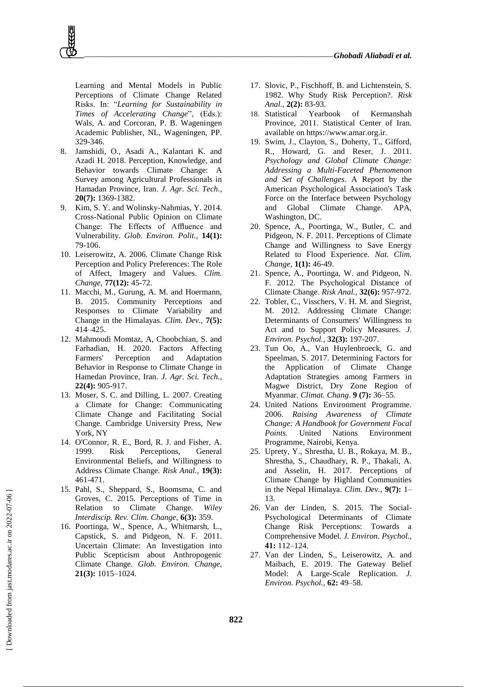Learning and Mental Models in Public Perceptions of Climate Change Related Risks. In: "*Learning for Sustainability in Times of Accelerating Change*", (Eds.): Wals, A. and Corcoran, P. B. Wageningen Academic Publisher, NL, Wageningen, PP. 329-346.

- 8. Jamshidi, O., Asadi A., Kalantari K. and Azadi H. 2018. Perception, Knowledge, and Behavior towards Climate Change: A Survey among Agricultural Professionals in Hamadan Province, Iran. *J. Agr. Sci. Tech.,* **20(7):** 1369-1382.
- 9. Kim, S. Y. and Wolinsky-Nahmias, Y. 2014. Cross-National Public Opinion on Climate Change: The Effects of Affluence and Vulnerability. *Glob. Environ. Polit.,* **14(1):** 79-106.
- 10. Leiserowitz, A. 2006. Climate Change Risk Perception and Policy Preferences: The Role of Affect, Imagery and Values. *Clim. Change,* **77(12):** 45-72.
- 11. Macchi, M., Gurung, A. M. and Hoermann, B. 2015. Community Perceptions and Responses to Climate Variability and Change in the Himalayas. *Clim. Dev.,* **7(5):** 414–425.
- 12. Mahmoodi Momtaz, A, Choobchian, S. and Farhadian, H. 2020. Factors Affecting Farmers' Perception and Adaptation Behavior in Response to Climate Change in Hamedan Province, Iran. *J. Agr. Sci. Tech.,* **22(4):** 905-917.
- 13. Moser, S. C. and Dilling, L. 2007. Creating a Climate for Change: Communicating Climate Change and Facilitating Social Change. Cambridge University Press, New York, NY
- 14. O'Connor, R. E., Bord, R. J. and Fisher, A. 1999. Risk Perceptions, General Environmental Beliefs, and Willingness to Address Climate Change. *Risk Anal.,* **19(3):** 461-471.
- 15. Pahl, S., Sheppard, S., Boomsma, C. and Groves, C. 2015. Perceptions of Time in Relation to Climate Change. *Wiley Interdiscip. Rev. Clim. Change,* **6(3):** 359.
- 16. Poortinga, W., Spence, A., Whitmarsh, L., Capstick, S. and Pidgeon, N. F. 2011. Uncertain Climate: An Investigation into Public Scepticism about Anthropogenic Climate Change. *Glob. Environ. Change,* **21(3):** 1015–1024.
- 17. Slovic, P., Fischhoff, B. and Lichtenstein, S. 1982. Why Study Risk Perception?. *Risk Anal.,* **2(2):** 83-93.
- 18. Statistical Yearbook of Kermanshah Province, 2011. Statistical Center of Iran. available on https://www.amar.org.ir.
- 19. Swim, J., Clayton, S., Doherty, T., Gifford, R., Howard, G. and Reser, J. 2011. *Psychology and Global Climate Change: Addressing a Multi-Faceted Phenomenon and Set of Challenges*. A Report by the American Psychological Association's Task Force on the Interface between Psychology and Global Climate Change. APA, Washington, DC.
- 20. Spence, A., Poortinga, W., Butler, C. and Pidgeon, N. F. 2011. Perceptions of Climate Change and Willingness to Save Energy Related to Flood Experience. *Nat. Clim. Change,* **1(1):** 46-49.
- 21. Spence, A., Poortinga, W. and Pidgeon, N. F. 2012. The Psychological Distance of Climate Change. *Risk Anal.,* **32(6):** 957-972.
- 22. Tobler, C., Visschers, V. H. M. and Siegrist, M. 2012. Addressing Climate Change: Determinants of Consumers' Willingness to Act and to Support Policy Measures. *J. Environ. Psychol.,* **32(3):** 197-207.
- 23. Tun Oo, A., Van Huylenbroeck, G. and Speelman, S. 2017. Determining Factors for the Application of Climate Change Adaptation Strategies among Farmers in Magwe District, Dry Zone Region of Myanmar. *Climat. Chang*. **9 (7):** 36–55.
- 24. United Nations Environment Programme. 2006. *Raising Awareness of Climate Change: A Handbook for Government Focal Points.* United Nations Environment Programme, Nairobi, Kenya.
- 25. Uprety, Y., Shrestha, U. B., Rokaya, M. B., Shrestha, S., Chaudhary, R. P., Thakali, A. and Asselin, H. 2017. Perceptions of Climate Change by Highland Communities in the Nepal Himalaya. *Clim. Dev.,* **9(7):** 1– 13.
- 26. Van der Linden, S. 2015. The Social-Psychological Determinants of Climate Change Risk Perceptions: Towards a Comprehensive Model. *J. Environ. Psychol.,* **41:** 112–124.
- 27. Van der Linden, S., Leiserowitz, A. and Maibach, E. 2019. The Gateway Belief Model: A Large-Scale Replication. *J. Environ. Psychol.,* **62:** 49–58.